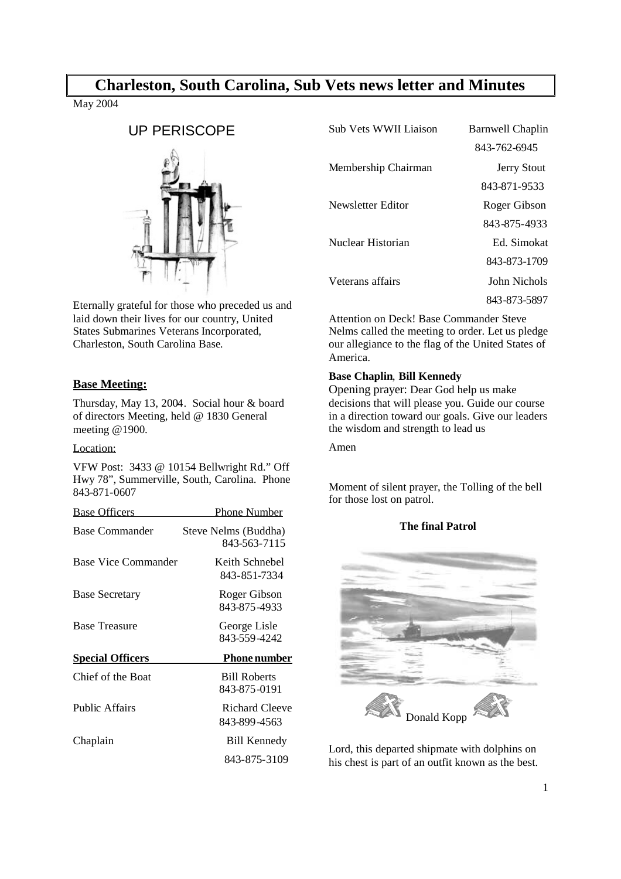# **Charleston, South Carolina, Sub Vets news letter and Minutes**

May 2004

# UP PERISCOPE



Eternally grateful for those who preceded us and laid down their lives for our country, United States Submarines Veterans Incorporated, Charleston, South Carolina Base.

# **Base Meeting:**

Thursday, May 13, 2004. Social hour & board of directors Meeting, held @ 1830 General meeting @1900.

# Location:

VFW Post: 3433 @ 10154 Bellwright Rd." Off Hwy 78", Summerville, South, Carolina. Phone 843-871-0607

| <b>Base Officers</b>    | Phone Number                         |
|-------------------------|--------------------------------------|
| Base Commander          | Steve Nelms (Buddha)<br>843-563-7115 |
| Base Vice Commander     | Keith Schnebel<br>843-851-7334       |
| <b>Base Secretary</b>   | Roger Gibson<br>843-875-4933         |
| <b>Base Treasure</b>    | George Lisle<br>843-559-4242         |
| <b>Special Officers</b> | <b>Phone number</b>                  |
| Chief of the Boat       | <b>Bill Roberts</b><br>843-875-0191  |
| <b>Public Affairs</b>   | Richard Cleeve<br>843-899-4563       |
| Chaplain                | <b>Bill Kennedy</b>                  |
|                         | 843-875-3109                         |

| Sub Vets WWII Liaison | <b>Barnwell Chaplin</b> |
|-----------------------|-------------------------|
|                       | 843-762-6945            |
| Membership Chairman   | <b>Jerry Stout</b>      |
|                       | 843-871-9533            |
| Newsletter Editor     | Roger Gibson            |
|                       | 843-875-4933            |
| Nuclear Historian     | Ed. Simokat             |
|                       | 843-873-1709            |
| Veterans affairs      | John Nichols            |
|                       | 843-873-5897            |

Attention on Deck! Base Commander Steve Nelms called the meeting to order. Let us pledge our allegiance to the flag of the United States of America.

# **Base Chaplin**, **Bill Kennedy**

Opening prayer: Dear God help us make decisions that will please you. Guide our course in a direction toward our goals. Give our leaders the wisdom and strength to lead us

#### Amen

Moment of silent prayer, the Tolling of the bell for those lost on patrol.

# **The final Patrol**



Lord, this departed shipmate with dolphins on his chest is part of an outfit known as the best.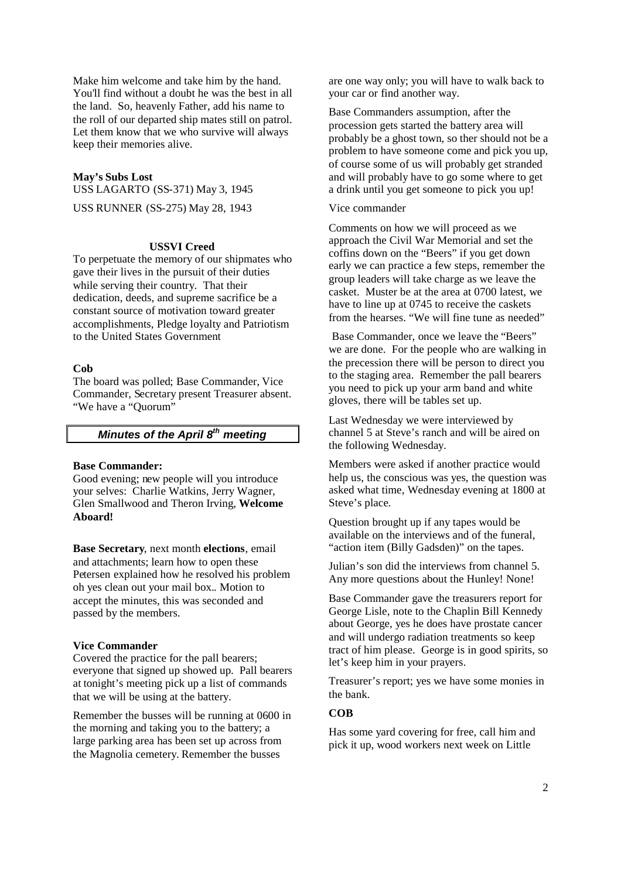Make him welcome and take him by the hand. You'll find without a doubt he was the best in all the land. So, heavenly Father, add his name to the roll of our departed ship mates still on patrol. Let them know that we who survive will always keep their memories alive.

#### **May's Subs Lost**

USS LAGARTO (SS-371) May 3, 1945 USS RUNNER (SS-275) May 28, 1943

## **USSVI Creed**

To perpetuate the memory of our shipmates who gave their lives in the pursuit of their duties while serving their country. That their dedication, deeds, and supreme sacrifice be a constant source of motivation toward greater accomplishments, Pledge loyalty and Patriotism to the United States Government

#### **Cob**

The board was polled; Base Commander, Vice Commander, Secretary present Treasurer absent. "We have a "Ouorum"

# *Minutes of the April 8th meeting*

#### **Base Commander:**

Good evening; new people will you introduce your selves: Charlie Watkins, Jerry Wagner, Glen Smallwood and Theron Irving, **Welcome Aboard!**

**Base Secretary**, next month **elections**, email and attachments; learn how to open these Petersen explained how he resolved his problem oh yes clean out your mail box.. Motion to accept the minutes, this was seconded and passed by the members.

#### **Vice Commander**

Covered the practice for the pall bearers; everyone that signed up showed up. Pall bearers at tonight's meeting pick up a list of commands that we will be using at the battery.

Remember the busses will be running at 0600 in the morning and taking you to the battery; a large parking area has been set up across from the Magnolia cemetery. Remember the busses

are one way only; you will have to walk back to your car or find another way.

Base Commanders assumption, after the procession gets started the battery area will probably be a ghost town, so ther should not be a problem to have someone come and pick you up, of course some of us will probably get stranded and will probably have to go some where to get a drink until you get someone to pick you up!

#### Vice commander

Comments on how we will proceed as we approach the Civil War Memorial and set the coffins down on the "Beers" if you get down early we can practice a few steps, remember the group leaders will take charge as we leave the casket. Muster be at the area at 0700 latest, we have to line up at 0745 to receive the caskets from the hearses. "We will fine tune as needed"

Base Commander, once we leave the "Beers" we are done. For the people who are walking in the precession there will be person to direct you to the staging area. Remember the pall bearers you need to pick up your arm band and white gloves, there will be tables set up.

Last Wednesday we were interviewed by channel 5 at Steve's ranch and will be aired on the following Wednesday.

Members were asked if another practice would help us, the conscious was yes, the question was asked what time, Wednesday evening at 1800 at Steve's place.

Question brought up if any tapes would be available on the interviews and of the funeral, "action item (Billy Gadsden)" on the tapes.

Julian's son did the interviews from channel 5. Any more questions about the Hunley! None!

Base Commander gave the treasurers report for George Lisle, note to the Chaplin Bill Kennedy about George, yes he does have prostate cancer and will undergo radiation treatments so keep tract of him please. George is in good spirits, so let's keep him in your prayers.

Treasurer's report; yes we have some monies in the bank.

# **COB**

Has some yard covering for free, call him and pick it up, wood workers next week on Little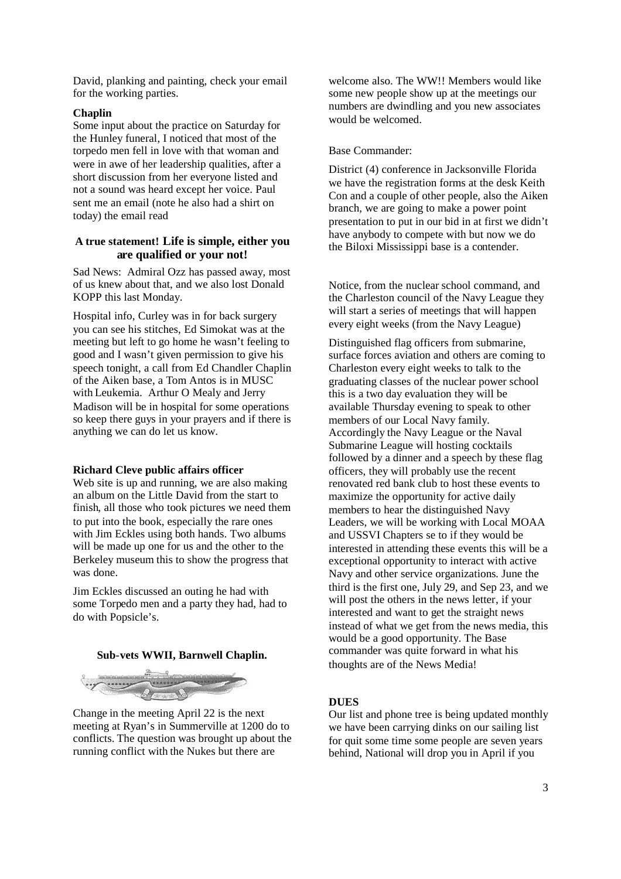David, planking and painting, check your email for the working parties.

## **Chaplin**

Some input about the practice on Saturday for the Hunley funeral, I noticed that most of the torpedo men fell in love with that woman and were in awe of her leadership qualities, after a short discussion from her everyone listed and not a sound was heard except her voice. Paul sent me an email (note he also had a shirt on today) the email read

# **A true statement! Life is simple, either you are qualified or your not!**

Sad News: Admiral Ozz has passed away, most of us knew about that, and we also lost Donald KOPP this last Monday.

Hospital info, Curley was in for back surgery you can see his stitches, Ed Simokat was at the meeting but left to go home he wasn't feeling to good and I wasn't given permission to give his speech tonight, a call from Ed Chandler Chaplin of the Aiken base, a Tom Antos is in MUSC with Leukemia. Arthur O Mealy and Jerry Madison will be in hospital for some operations so keep there guys in your prayers and if there is anything we can do let us know.

#### **Richard Cleve public affairs officer**

Web site is up and running, we are also making an album on the Little David from the start to finish, all those who took pictures we need them to put into the book, especially the rare ones with Jim Eckles using both hands. Two albums will be made up one for us and the other to the Berkeley museum this to show the progress that was done.

Jim Eckles discussed an outing he had with some Torpedo men and a party they had, had to do with Popsicle's.

#### **Sub-vets WWII, Barnwell Chaplin.**



Change in the meeting April 22 is the next meeting at Ryan's in Summerville at 1200 do to conflicts. The question was brought up about the running conflict with the Nukes but there are

welcome also. The WW!! Members would like some new people show up at the meetings our numbers are dwindling and you new associates would be welcomed.

#### Base Commander:

District (4) conference in Jacksonville Florida we have the registration forms at the desk Keith Con and a couple of other people, also the Aiken branch, we are going to make a power point presentation to put in our bid in at first we didn't have anybody to compete with but now we do the Biloxi Mississippi base is a contender.

Notice, from the nuclear school command, and the Charleston council of the Navy League they will start a series of meetings that will happen every eight weeks (from the Navy League)

Distinguished flag officers from submarine, surface forces aviation and others are coming to Charleston every eight weeks to talk to the graduating classes of the nuclear power school this is a two day evaluation they will be available Thursday evening to speak to other members of our Local Navy family. Accordingly the Navy League or the Naval Submarine League will hosting cocktails followed by a dinner and a speech by these flag officers, they will probably use the recent renovated red bank club to host these events to maximize the opportunity for active daily members to hear the distinguished Navy Leaders, we will be working with Local MOAA and USSVI Chapters se to if they would be interested in attending these events this will be a exceptional opportunity to interact with active Navy and other service organizations. June the third is the first one, July 29, and Sep 23, and we will post the others in the news letter, if your interested and want to get the straight news instead of what we get from the news media, this would be a good opportunity. The Base commander was quite forward in what his thoughts are of the News Media!

#### **DUES**

Our list and phone tree is being updated monthly we have been carrying dinks on our sailing list for quit some time some people are seven years behind, National will drop you in April if you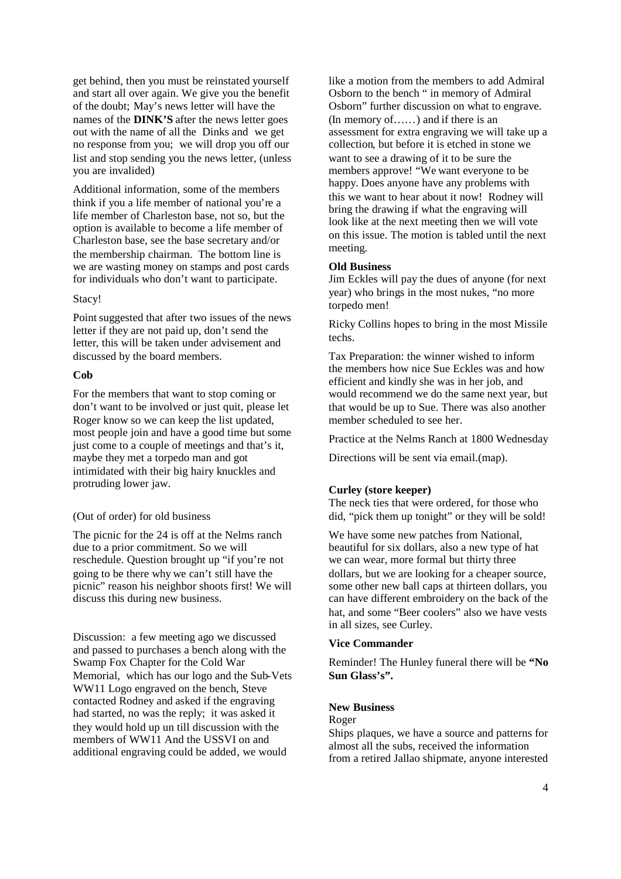get behind, then you must be reinstated yourself and start all over again. We give you the benefit of the doubt; May's news letter will have the names of the **DINK'S** after the news letter goes out with the name of all the Dinks and we get no response from you; we will drop you off our list and stop sending you the news letter, (unless you are invalided)

Additional information, some of the members think if you a life member of national you're a life member of Charleston base, not so, but the option is available to become a life member of Charleston base, see the base secretary and/or the membership chairman. The bottom line is we are wasting money on stamps and post cards for individuals who don't want to participate.

#### Stacy!

Point suggested that after two issues of the news letter if they are not paid up, don't send the letter, this will be taken under advisement and discussed by the board members.

#### **Cob**

For the members that want to stop coming or don't want to be involved or just quit, please let Roger know so we can keep the list updated, most people join and have a good time but some just come to a couple of meetings and that's it, maybe they met a torpedo man and got intimidated with their big hairy knuckles and protruding lower jaw.

#### (Out of order) for old business

The picnic for the 24 is off at the Nelms ranch due to a prior commitment. So we will reschedule. Question brought up "if you're not going to be there why we can't still have the picnic" reason his neighbor shoots first! We will discuss this during new business.

Discussion: a few meeting ago we discussed and passed to purchases a bench along with the Swamp Fox Chapter for the Cold War Memorial, which has our logo and the Sub-Vets WW11 Logo engraved on the bench, Steve contacted Rodney and asked if the engraving had started, no was the reply; it was asked it they would hold up un till discussion with the members of WW11 And the USSVI on and additional engraving could be added, we would

like a motion from the members to add Admiral Osborn to the bench " in memory of Admiral Osborn" further discussion on what to engrave. (In memory of……) and if there is an assessment for extra engraving we will take up a collection, but before it is etched in stone we want to see a drawing of it to be sure the members approve! "We want everyone to be happy. Does anyone have any problems with this we want to hear about it now! Rodney will bring the drawing if what the engraving will look like at the next meeting then we will vote on this issue. The motion is tabled until the next meeting.

#### **Old Business**

Jim Eckles will pay the dues of anyone (for next year) who brings in the most nukes, "no more torpedo men!

Ricky Collins hopes to bring in the most Missile techs.

Tax Preparation: the winner wished to inform the members how nice Sue Eckles was and how efficient and kindly she was in her job, and would recommend we do the same next year, but that would be up to Sue. There was also another member scheduled to see her.

Practice at the Nelms Ranch at 1800 Wednesday

Directions will be sent via email.(map).

#### **Curley (store keeper)**

The neck ties that were ordered, for those who did, "pick them up tonight" or they will be sold!

We have some new patches from National, beautiful for six dollars, also a new type of hat we can wear, more formal but thirty three dollars, but we are looking for a cheaper source, some other new ball caps at thirteen dollars, you can have different embroidery on the back of the hat, and some "Beer coolers" also we have vests in all sizes, see Curley.

#### **Vice Commander**

Reminder! The Hunley funeral there will be **"No Sun Glass's".**

### **New Business**

#### Roger

Ships plaques, we have a source and patterns for almost all the subs, received the information from a retired Jallao shipmate, anyone interested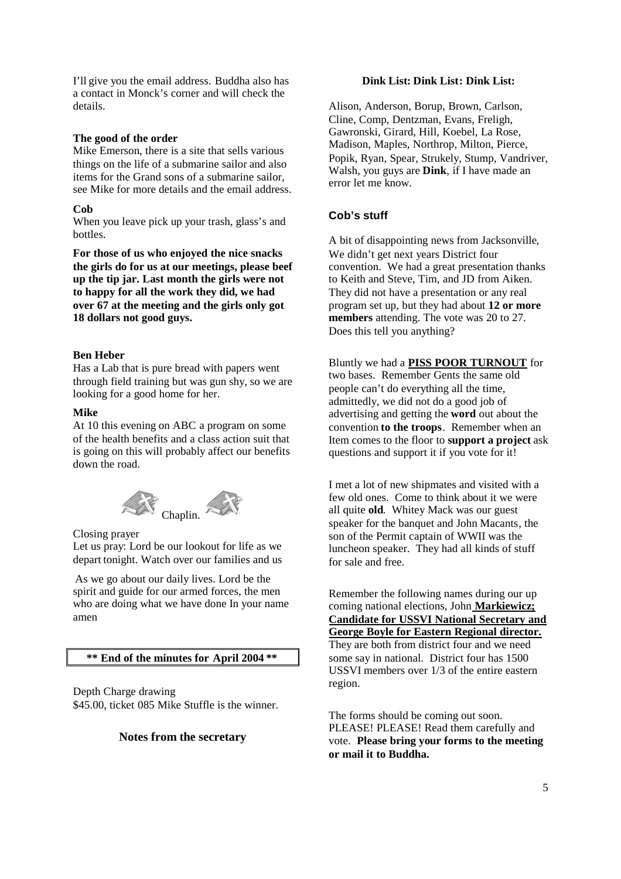I'll give you the email address. Buddha also has a contact in Monck's corner and will check the details.

#### **The good of the order**

Mike Emerson, there is a site that sells various things on the life of a submarine sailor and also items for the Grand sons of a submarine sailor, see Mike for more details and the email address.

#### **Cob**

When you leave pick up your trash, glass's and bottles.

**For those of us who enjoyed the nice snacks the girls do for us at our meetings, please beef up the tip jar. Last month the girls were not to happy for all the work they did, we had over 67 at the meeting and the girls only got 18 dollars not good guys.**

### **Ben Heber**

Has a Lab that is pure bread with papers went through field training but was gun shy, so we are looking for a good home for her.

#### **Mike**

At 10 this evening on ABC a program on some of the health benefits and a class action suit that is going on this will probably affect our benefits down the road.



Closing prayer

Let us pray: Lord be our lookout for life as we depart tonight. Watch over our families and us

As we go about our daily lives. Lord be the spirit and guide for our armed forces, the men who are doing what we have done In your name amen

**\*\* End of the minutes for April 2004 \*\***

Depth Charge drawing \$45.00, ticket 085 Mike Stuffle is the winner.

# **Notes from the secretary**

# **Dink List: Dink List: Dink List:**

Alison, Anderson, Borup, Brown, Carlson, Cline, Comp, Dentzman, Evans, Freligh, Gawronski, Girard, Hill, Koebel, La Rose, Madison, Maples, Northrop, Milton, Pierce, Popik, Ryan, Spear, Strukely, Stump, Vandriver, Walsh, you guys are **Dink**, if I have made an error let me know.

# **Cob's stuff**

A bit of disappointing news from Jacksonville, We didn't get next years District four convention. We had a great presentation thanks to Keith and Steve, Tim, and JD from Aiken. They did not have a presentation or any real program set up, but they had about **12 or more members** attending. The vote was 20 to 27. Does this tell you anything?

Bluntly we had a **PISS POOR TURNOUT** for two bases. Remember Gents the same old people can't do everything all the time, admittedly, we did not do a good job of advertising and getting the **word** out about the convention **to the troops**. Remember when an Item comes to the floor to **support a project** ask questions and support it if you vote for it!

I met a lot of new shipmates and visited with a few old ones. Come to think about it we were all quite **old**. Whitey Mack was our guest speaker for the banquet and John Macants, the son of the Permit captain of WWII was the luncheon speaker. They had all kinds of stuff for sale and free.

Remember the following names during our up coming national elections, John **Markiewicz; Candidate for USSVI National Secretary and George Boyle for Eastern Regional director.** They are both from district four and we need some say in national. District four has 1500 USSVI members over 1/3 of the entire eastern region.

The forms should be coming out soon. PLEASE! PLEASE! Read them carefully and vote. **Please bring your forms to the meeting or mail it to Buddha.**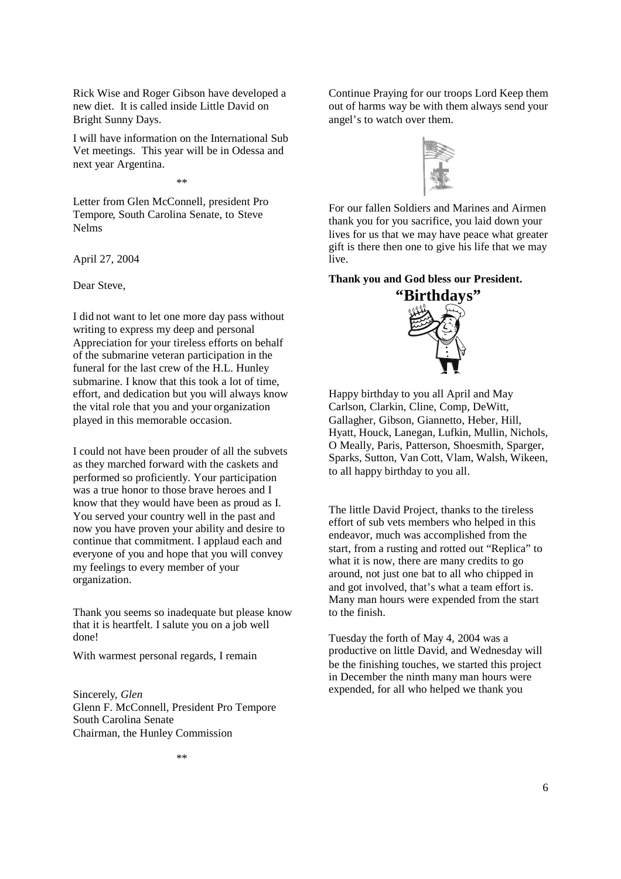Rick Wise and Roger Gibson have developed a new diet. It is called inside Little David on Bright Sunny Days.

I will have information on the International Sub Vet meetings. This year will be in Odessa and next year Argentina.

\*\*

Letter from Glen McConnell, president Pro Tempore, South Carolina Senate, to Steve Nelms

April 27, 2004

Dear Steve,

I did not want to let one more day pass without writing to express my deep and personal Appreciation for your tireless efforts on behalf of the submarine veteran participation in the funeral for the last crew of the H.L. Hunley submarine. I know that this took a lot of time, effort, and dedication but you will always know the vital role that you and your organization played in this memorable occasion.

I could not have been prouder of all the subvets as they marched forward with the caskets and performed so proficiently. Your participation was a true honor to those brave heroes and I know that they would have been as proud as I. You served your country well in the past and now you have proven your ability and desire to continue that commitment. I applaud each and everyone of you and hope that you will convey my feelings to every member of your organization.

Thank you seems so inadequate but please know that it is heartfelt. I salute you on a job well done!

With warmest personal regards, I remain

Sincerely*, Glen* Glenn F. McConnell, President Pro Tempore South Carolina Senate Chairman, the Hunley Commission

Continue Praying for our troops Lord Keep them out of harms way be with them always send your angel's to watch over them.



For our fallen Soldiers and Marines and Airmen thank you for you sacrifice, you laid down your lives for us that we may have peace what greater gift is there then one to give his life that we may live.

# **Thank you and God bless our President.**



Happy birthday to you all April and May Carlson, Clarkin, Cline, Comp, DeWitt, Gallagher, Gibson, Giannetto, Heber, Hill, Hyatt, Houck, Lanegan, Lufkin, Mullin, Nichols, O Meally, Paris, Patterson, Shoesmith, Sparger, Sparks, Sutton, Van Cott, Vlam, Walsh, Wikeen, to all happy birthday to you all.

The little David Project, thanks to the tireless effort of sub vets members who helped in this endeavor, much was accomplished from the start, from a rusting and rotted out "Replica" to what it is now, there are many credits to go around, not just one bat to all who chipped in and got involved, that's what a team effort is. Many man hours were expended from the start to the finish.

Tuesday the forth of May 4, 2004 was a productive on little David, and Wednesday will be the finishing touches, we started this project in December the ninth many man hours were expended, for all who helped we thank you